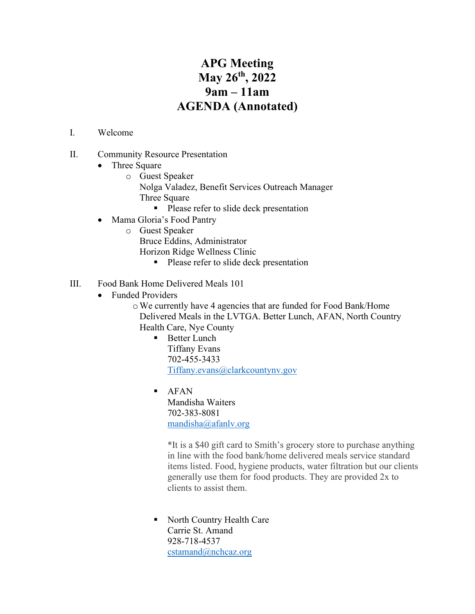## **APG Meeting May 26th, 2022 9am – 11am AGENDA (Annotated)**

## I. Welcome

- II. Community Resource Presentation
	- Three Square
		- o Guest Speaker Nolga Valadez, Benefit Services Outreach Manager Three Square
			- **Please refer to slide deck presentation**
	- Mama Gloria's Food Pantry
		- o Guest Speaker Bruce Eddins, Administrator
			- Horizon Ridge Wellness Clinic
				- **Please refer to slide deck presentation**
- III. Food Bank Home Delivered Meals 101
	- Funded Providers
		- oWe currently have 4 agencies that are funded for Food Bank/Home Delivered Meals in the LVTGA. Better Lunch, AFAN, North Country Health Care, Nye County
			- **Better Lunch** Tiffany Evans 702-455-3433 [Tiffany.evans@clarkcountynv.gov](mailto:Tiffany.evans@clarkcountynv.gov)
			- AFAN Mandisha Waiters 702-383-8081 [mandisha@afanlv.org](mailto:mandisha@afanlv.org)

\*It is a \$40 gift card to Smith's grocery store to purchase anything in line with the food bank/home delivered meals service standard items listed. Food, hygiene products, water filtration but our clients generally use them for food products. They are provided 2x to clients to assist them.

• North Country Health Care Carrie St. Amand 928-718-4537 [cstamand@nchcaz.org](mailto:cstamand@nchcaz.org)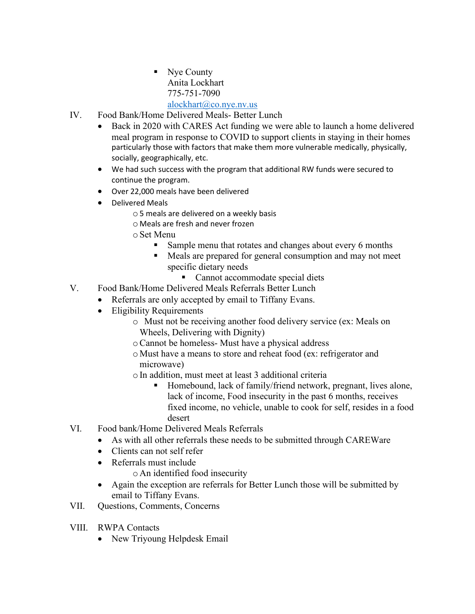- Nye County Anita Lockhart 775-751-7090 [alockhart@co.nye.nv.us](mailto:alockhart@co.nye.nv.us)
- IV. Food Bank/Home Delivered Meals- Better Lunch
	- Back in 2020 with CARES Act funding we were able to launch a home delivered meal program in response to COVID to support clients in staying in their homes particularly those with factors that make them more vulnerable medically, physically, socially, geographically, etc.
	- We had such success with the program that additional RW funds were secured to continue the program.
	- Over 22,000 meals have been delivered
	- Delivered Meals
		- o5 meals are delivered on a weekly basis
		- o Meals are fresh and never frozen
		- oSet Menu
			- Sample menu that rotates and changes about every 6 months
			- Meals are prepared for general consumption and may not meet specific dietary needs
				- Cannot accommodate special diets
- V. Food Bank/Home Delivered Meals Referrals Better Lunch
	- Referrals are only accepted by email to Tiffany Evans.
	- Eligibility Requirements
		- o Must not be receiving another food delivery service (ex: Meals on Wheels, Delivering with Dignity)
		- oCannot be homeless- Must have a physical address
		- o Must have a means to store and reheat food (ex: refrigerator and microwave)
		- oIn addition, must meet at least 3 additional criteria
			- Homebound, lack of family/friend network, pregnant, lives alone, lack of income, Food insecurity in the past 6 months, receives fixed income, no vehicle, unable to cook for self, resides in a food desert
- VI. Food bank/Home Delivered Meals Referrals
	- As with all other referrals these needs to be submitted through CAREWare
	- Clients can not self refer
	- Referrals must include
		- o An identified food insecurity
	- Again the exception are referrals for Better Lunch those will be submitted by email to Tiffany Evans.
- VII. Questions, Comments, Concerns
- VIII. RWPA Contacts
	- New Triyoung Helpdesk Email